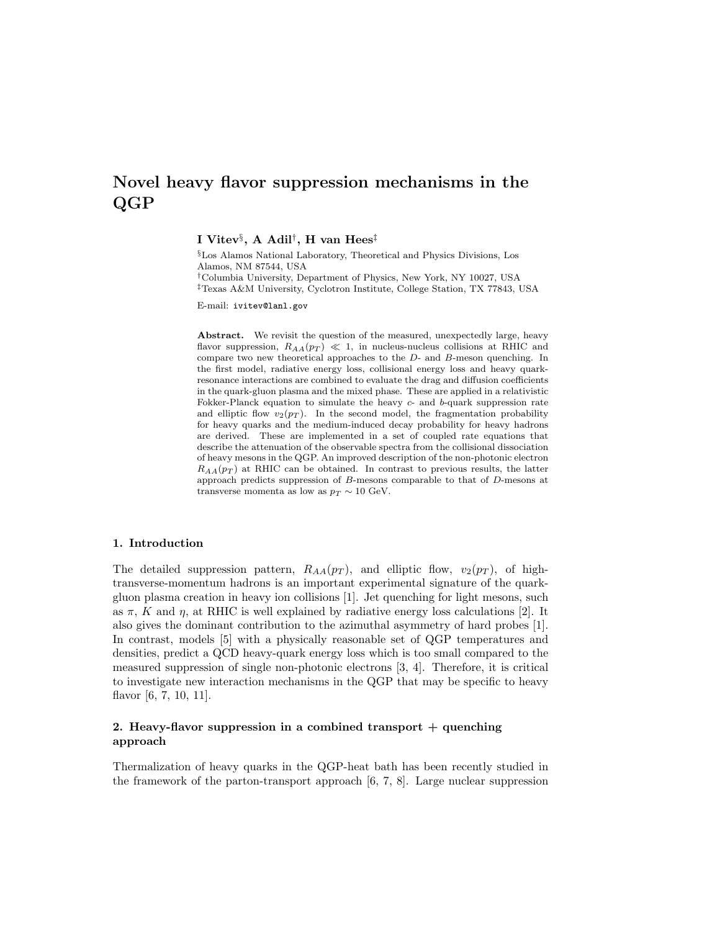# Novel heavy flavor suppression mechanisms in the QGP

I Vitev $\S$ , A Adil $^\dagger,$  H van Hees $^\ddagger$ 

§Los Alamos National Laboratory, Theoretical and Physics Divisions, Los Alamos, NM 87544, USA †Columbia University, Department of Physics, New York, NY 10027, USA ‡Texas A&M University, Cyclotron Institute, College Station, TX 77843, USA

E-mail: ivitev@lanl.gov

Abstract. We revisit the question of the measured, unexpectedly large, heavy flavor suppression,  $R_{AA}(p_T) \ll 1$ , in nucleus-nucleus collisions at RHIC and compare two new theoretical approaches to the D- and B-meson quenching. In the first model, radiative energy loss, collisional energy loss and heavy quarkresonance interactions are combined to evaluate the drag and diffusion coefficients in the quark-gluon plasma and the mixed phase. These are applied in a relativistic Fokker-Planck equation to simulate the heavy  $c$ - and  $b$ -quark suppression rate and elliptic flow  $v_2(p_T)$ . In the second model, the fragmentation probability for heavy quarks and the medium-induced decay probability for heavy hadrons are derived. These are implemented in a set of coupled rate equations that describe the attenuation of the observable spectra from the collisional dissociation of heavy mesons in the QGP. An improved description of the non-photonic electron  $R_{AA}(p_T)$  at RHIC can be obtained. In contrast to previous results, the latter approach predicts suppression of B-mesons comparable to that of D-mesons at transverse momenta as low as  $p_T \sim 10$  GeV.

## 1. Introduction

The detailed suppression pattern,  $R_{AA}(p_T)$ , and elliptic flow,  $v_2(p_T)$ , of hightransverse-momentum hadrons is an important experimental signature of the quarkgluon plasma creation in heavy ion collisions [1]. Jet quenching for light mesons, such as  $\pi$ , K and  $\eta$ , at RHIC is well explained by radiative energy loss calculations [2]. It also gives the dominant contribution to the azimuthal asymmetry of hard probes [1]. In contrast, models [5] with a physically reasonable set of QGP temperatures and densities, predict a QCD heavy-quark energy loss which is too small compared to the measured suppression of single non-photonic electrons [3, 4]. Therefore, it is critical to investigate new interaction mechanisms in the QGP that may be specific to heavy flavor [6, 7, 10, 11].

## 2. Heavy-flavor suppression in a combined transport  $+$  quenching approach

Thermalization of heavy quarks in the QGP-heat bath has been recently studied in the framework of the parton-transport approach [6, 7, 8]. Large nuclear suppression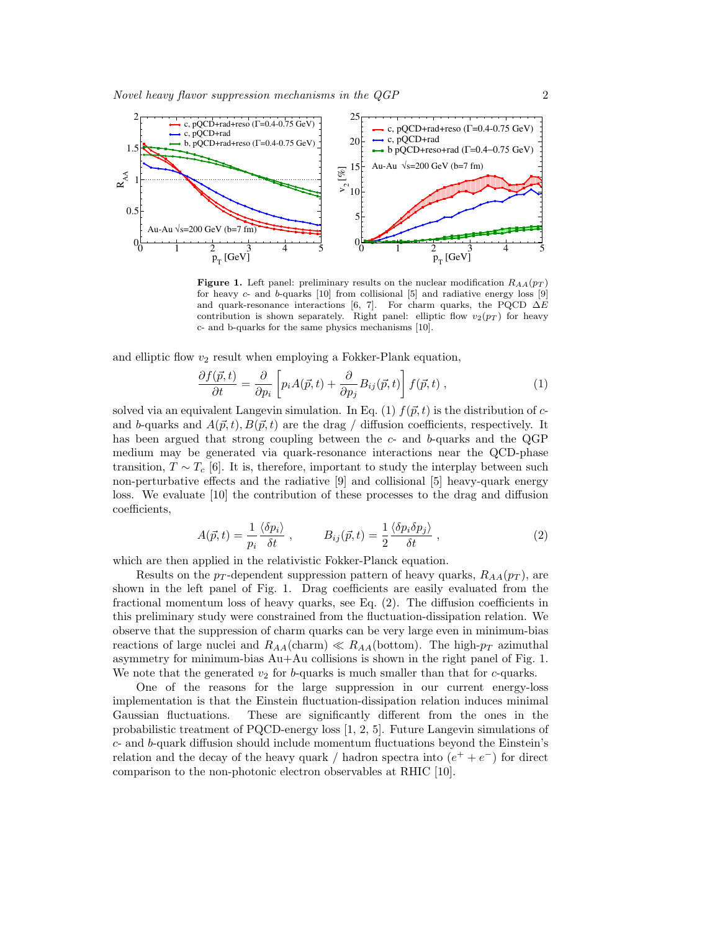

Figure 1. Left panel: preliminary results on the nuclear modification  $R_{AA}(p_T)$ for heavy  $c$ - and  $b$ -quarks [10] from collisional [5] and radiative energy loss [9] and quark-resonance interactions [6, 7]. For charm quarks, the PQCD  $\Delta E$ contribution is shown separately. Right panel: elliptic flow  $v_2(p_T)$  for heavy c- and b-quarks for the same physics mechanisms [10].

and elliptic flow  $v_2$  result when employing a Fokker-Plank equation,

$$
\frac{\partial f(\vec{p},t)}{\partial t} = \frac{\partial}{\partial p_i} \left[ p_i A(\vec{p},t) + \frac{\partial}{\partial p_j} B_{ij}(\vec{p},t) \right] f(\vec{p},t) , \qquad (1)
$$

solved via an equivalent Langevin simulation. In Eq. (1)  $f(\vec{p}, t)$  is the distribution of cand b-quarks and  $A(\vec{p}, t)$ ,  $B(\vec{p}, t)$  are the drag / diffusion coefficients, respectively. It has been argued that strong coupling between the  $c$ - and  $b$ -quarks and the QGP medium may be generated via quark-resonance interactions near the QCD-phase transition,  $T \sim T_c$  [6]. It is, therefore, important to study the interplay between such non-perturbative effects and the radiative [9] and collisional [5] heavy-quark energy loss. We evaluate [10] the contribution of these processes to the drag and diffusion coefficients,

$$
A(\vec{p},t) = \frac{1}{p_i} \frac{\langle \delta p_i \rangle}{\delta t}, \qquad B_{ij}(\vec{p},t) = \frac{1}{2} \frac{\langle \delta p_i \delta p_j \rangle}{\delta t}, \qquad (2)
$$

which are then applied in the relativistic Fokker-Planck equation.

Results on the  $p_T$ -dependent suppression pattern of heavy quarks,  $R_{AA}(p_T)$ , are shown in the left panel of Fig. 1. Drag coefficients are easily evaluated from the fractional momentum loss of heavy quarks, see Eq. (2). The diffusion coefficients in this preliminary study were constrained from the fluctuation-dissipation relation. We observe that the suppression of charm quarks can be very large even in minimum-bias reactions of large nuclei and  $R_{AA}$ (charm)  $\ll R_{AA}$ (bottom). The high- $p_T$  azimuthal asymmetry for minimum-bias Au+Au collisions is shown in the right panel of Fig. 1. We note that the generated  $v_2$  for b-quarks is much smaller than that for c-quarks.

One of the reasons for the large suppression in our current energy-loss implementation is that the Einstein fluctuation-dissipation relation induces minimal Gaussian fluctuations. These are significantly different from the ones in the probabilistic treatment of PQCD-energy loss [1, 2, 5]. Future Langevin simulations of  $c$ - and  $b$ -quark diffusion should include momentum fluctuations beyond the Einstein's relation and the decay of the heavy quark / hadron spectra into  $(e^+ + e^-)$  for direct comparison to the non-photonic electron observables at RHIC [10].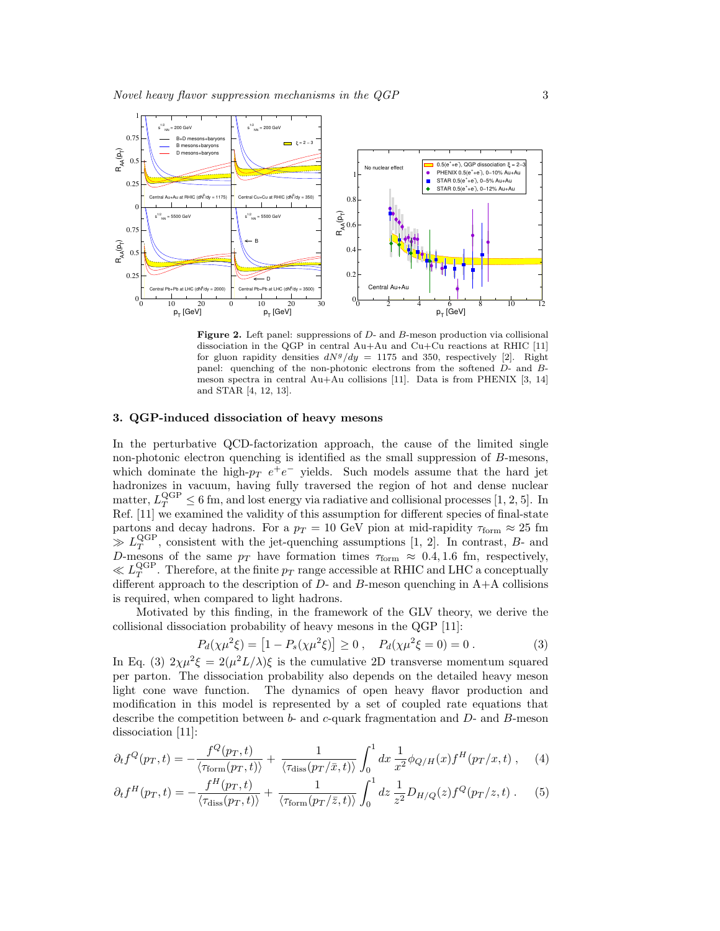

Figure 2. Left panel: suppressions of D- and B-meson production via collisional dissociation in the QGP in central  $Au+Au$  and  $Cu+Cu$  reactions at RHIC [11] for gluon rapidity densities  $dN^g/dy = 1175$  and 350, respectively [2]. Right panel: quenching of the non-photonic electrons from the softened D- and Bmeson spectra in central Au+Au collisions [11]. Data is from PHENIX [3, 14] and STAR [4, 12, 13].

#### 3. QGP-induced dissociation of heavy mesons

In the perturbative QCD-factorization approach, the cause of the limited single non-photonic electron quenching is identified as the small suppression of B-mesons, which dominate the high- $p_T e^+e^-$  yields. Such models assume that the hard jet hadronizes in vacuum, having fully traversed the region of hot and dense nuclear matter,  $L_T^{\text{QGP}} \leq 6$  fm, and lost energy via radiative and collisional processes [1, 2, 5]. In Ref. [11] we examined the validity of this assumption for different species of final-state partons and decay hadrons. For a  $p_T = 10$  GeV pion at mid-rapidity  $\tau_{\text{form}} \approx 25$  fm  $\gg L_T^{\text{QGP}}$ , consistent with the jet-quenching assumptions [1, 2]. In contrast, B- and D-mesons of the same  $p_T$  have formation times  $\tau_{\text{form}} \approx 0.4, 1.6$  fm, respectively,  $\ll L_T^{\rm QGP}$ . Therefore, at the finite  $p_T$  range accessible at RHIC and LHC a conceptually different approach to the description of  $D$ - and  $B$ -meson quenching in  $A+A$  collisions is required, when compared to light hadrons.

Motivated by this finding, in the framework of the GLV theory, we derive the collisional dissociation probability of heavy mesons in the QGP [11]:

$$
P_d(\chi \mu^2 \xi) = [1 - P_s(\chi \mu^2 \xi)] \ge 0 , \quad P_d(\chi \mu^2 \xi = 0) = 0 . \tag{3}
$$

In Eq. (3)  $2\chi\mu^2\xi = 2(\mu^2L/\lambda)\xi$  is the cumulative 2D transverse momentum squared per parton. The dissociation probability also depends on the detailed heavy meson light cone wave function. The dynamics of open heavy flavor production and modification in this model is represented by a set of coupled rate equations that describe the competition between  $b$ - and  $c$ -quark fragmentation and  $D$ - and  $B$ -meson dissociation [11]:

$$
\partial_t f^Q(p_T, t) = -\frac{f^Q(p_T, t)}{\langle \tau_{\text{form}}(p_T, t) \rangle} + \frac{1}{\langle \tau_{\text{diss}}(p_T/\bar{x}, t) \rangle} \int_0^1 dx \, \frac{1}{x^2} \phi_{Q/H}(x) f^H(p_T/x, t) , \quad (4)
$$

$$
\partial_t f^H(p_T, t) = -\frac{f^H(p_T, t)}{\langle \tau_{\text{diss}}(p_T, t) \rangle} + \frac{1}{\langle \tau_{\text{form}}(p_T/z, t) \rangle} \int_0^1 dz \frac{1}{z^2} D_{H/Q}(z) f^Q(p_T/z, t) . \tag{5}
$$